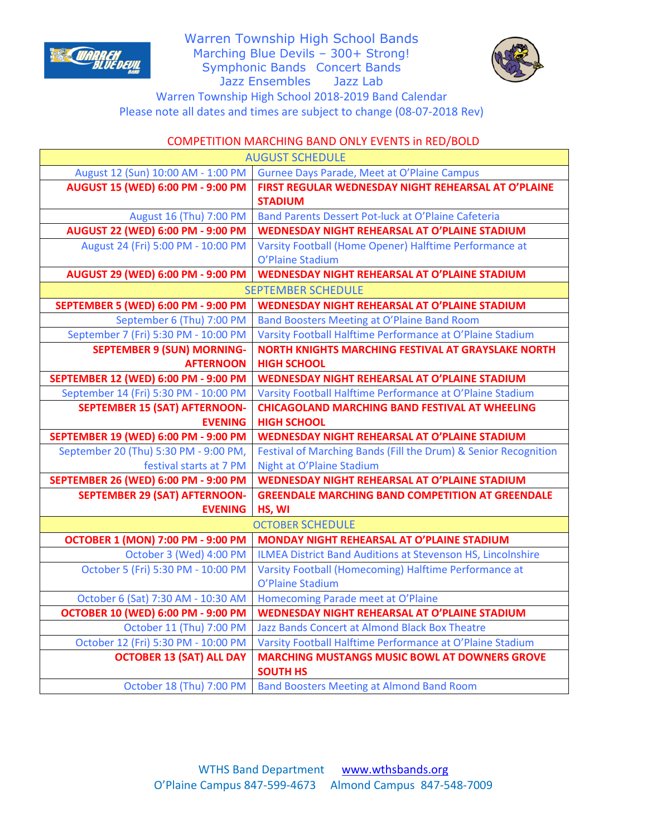

Warren Township High School Bands Marching Blue Devils – 300+ Strong! Symphonic Bands Concert Bands Jazz Ensembles Jazz Lab



Warren Township High School 2018-2019 Band Calendar Please note all dates and times are subject to change (08-07-2018 Rev)

## COMPETITION MARCHING BAND ONLY EVENTS in RED/BOLD

| <b>AUGUST SCHEDULE</b>                     |                                                                            |
|--------------------------------------------|----------------------------------------------------------------------------|
| August 12 (Sun) 10:00 AM - 1:00 PM         | Gurnee Days Parade, Meet at O'Plaine Campus                                |
| <b>AUGUST 15 (WED) 6:00 PM - 9:00 PM</b>   | FIRST REGULAR WEDNESDAY NIGHT REHEARSAL AT O'PLAINE                        |
|                                            | <b>STADIUM</b>                                                             |
| August 16 (Thu) 7:00 PM                    | Band Parents Dessert Pot-luck at O'Plaine Cafeteria                        |
| <b>AUGUST 22 (WED) 6:00 PM - 9:00 PM</b>   | <b>WEDNESDAY NIGHT REHEARSAL AT O'PLAINE STADIUM</b>                       |
| August 24 (Fri) 5:00 PM - 10:00 PM         | Varsity Football (Home Opener) Halftime Performance at<br>O'Plaine Stadium |
| AUGUST 29 (WED) 6:00 PM - 9:00 PM          | <b>WEDNESDAY NIGHT REHEARSAL AT O'PLAINE STADIUM</b>                       |
| <b>SEPTEMBER SCHEDULE</b>                  |                                                                            |
| <b>SEPTEMBER 5 (WED) 6:00 PM - 9:00 PM</b> | <b>WEDNESDAY NIGHT REHEARSAL AT O'PLAINE STADIUM</b>                       |
| September 6 (Thu) 7:00 PM                  | Band Boosters Meeting at O'Plaine Band Room                                |
| September 7 (Fri) 5:30 PM - 10:00 PM       | Varsity Football Halftime Performance at O'Plaine Stadium                  |
| <b>SEPTEMBER 9 (SUN) MORNING-</b>          | <b>NORTH KNIGHTS MARCHING FESTIVAL AT GRAYSLAKE NORTH</b>                  |
| <b>AFTERNOON</b>                           | <b>HIGH SCHOOL</b>                                                         |
| SEPTEMBER 12 (WED) 6:00 PM - 9:00 PM       | <b>WEDNESDAY NIGHT REHEARSAL AT O'PLAINE STADIUM</b>                       |
| September 14 (Fri) 5:30 PM - 10:00 PM      | Varsity Football Halftime Performance at O'Plaine Stadium                  |
| <b>SEPTEMBER 15 (SAT) AFTERNOON-</b>       | <b>CHICAGOLAND MARCHING BAND FESTIVAL AT WHEELING</b>                      |
| <b>EVENING</b>                             | <b>HIGH SCHOOL</b>                                                         |
| SEPTEMBER 19 (WED) 6:00 PM - 9:00 PM       | <b>WEDNESDAY NIGHT REHEARSAL AT O'PLAINE STADIUM</b>                       |
| September 20 (Thu) 5:30 PM - 9:00 PM,      | Festival of Marching Bands (Fill the Drum) & Senior Recognition            |
| festival starts at 7 PM                    | Night at O'Plaine Stadium                                                  |
| SEPTEMBER 26 (WED) 6:00 PM - 9:00 PM       | WEDNESDAY NIGHT REHEARSAL AT O'PLAINE STADIUM                              |
| <b>SEPTEMBER 29 (SAT) AFTERNOON-</b>       | <b>GREENDALE MARCHING BAND COMPETITION AT GREENDALE</b>                    |
| <b>EVENING</b>                             | HS, WI                                                                     |
|                                            | <b>OCTOBER SCHEDULE</b>                                                    |
| <b>OCTOBER 1 (MON) 7:00 PM - 9:00 PM</b>   | MONDAY NIGHT REHEARSAL AT O'PLAINE STADIUM                                 |
| October 3 (Wed) 4:00 PM                    | ILMEA District Band Auditions at Stevenson HS, Lincolnshire                |
| October 5 (Fri) 5:30 PM - 10:00 PM         | Varsity Football (Homecoming) Halftime Performance at                      |
|                                            | O'Plaine Stadium                                                           |
| October 6 (Sat) 7:30 AM - 10:30 AM         | Homecoming Parade meet at O'Plaine                                         |
| <b>OCTOBER 10 (WED) 6:00 PM - 9:00 PM</b>  | <b>WEDNESDAY NIGHT REHEARSAL AT O'PLAINE STADIUM</b>                       |
| October 11 (Thu) 7:00 PM                   | Jazz Bands Concert at Almond Black Box Theatre                             |
| October 12 (Fri) 5:30 PM - 10:00 PM        | Varsity Football Halftime Performance at O'Plaine Stadium                  |
| <b>OCTOBER 13 (SAT) ALL DAY</b>            | <b>MARCHING MUSTANGS MUSIC BOWL AT DOWNERS GROVE</b><br><b>SOUTH HS</b>    |
| October 18 (Thu) 7:00 PM                   | <b>Band Boosters Meeting at Almond Band Room</b>                           |
|                                            |                                                                            |